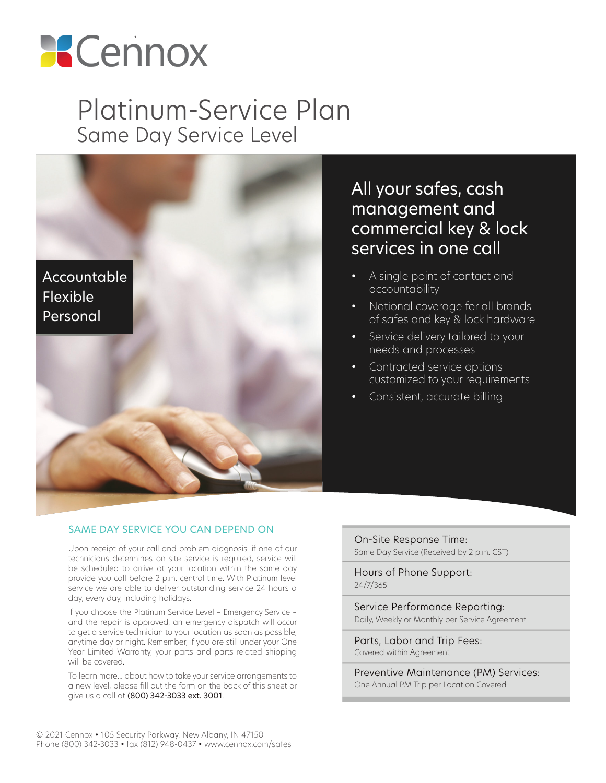

# Platinum-Service Plan Same Day Service Level



### All your safes, cash management and commercial key & lock services in one call

- A single point of contact and accountability
- National coverage for all brands of safes and key & lock hardware
- Service delivery tailored to your needs and processes
- Contracted service options customized to your requirements
- Consistent, accurate billing

#### SAME DAY SERVICE YOU CAN DEPEND ON

Upon receipt of your call and problem diagnosis, if one of our technicians determines on-site service is required, service will be scheduled to arrive at your location within the same day provide you call before 2 p.m. central time. With Platinum level service we are able to deliver outstanding service 24 hours a day, every day, including holidays.

If you choose the Platinum Service Level – Emergency Service – and the repair is approved, an emergency dispatch will occur to get a service technician to your location as soon as possible, anytime day or night. Remember, if you are still under your One Year Limited Warranty, your parts and parts-related shipping will be covered.

To learn more... about how to take your service arrangements to a new level, please fill out the form on the back of this sheet or give us a call at (800) 342-3033 ext. 3001.

On-Site Response Time: Same Day Service (Received by 2 p.m. CST)

Hours of Phone Support: 24/7/365

Service Performance Reporting: Daily, Weekly or Monthly per Service Agreement

Parts, Labor and Trip Fees: Covered within Agreement

Preventive Maintenance (PM) Services: One Annual PM Trip per Location Covered